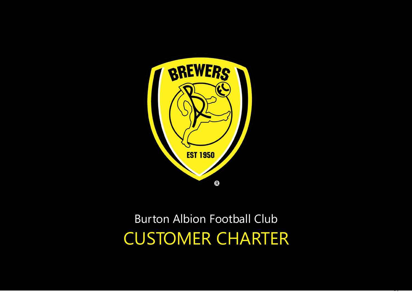

# Burton Albion Football Club CUSTOMER CHARTER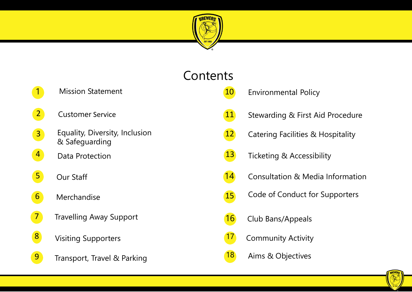

# **Contents**

10

- 1 Mission Statement
- 2 Customer Service
- Equality, Diversity, Inclusion & Safeguarding 3
- 4 Data Protection
- Our Staff 5
- 6 Merchandise
- 7 Travelling Away Support
- 8 Visiting Supporters
- 9 Transport, Travel & Parking
- Environmental Policy
- 11 Stewarding & First Aid Procedure
- 12 Catering Facilities & Hospitality
- 13 Ticketing & Accessibility
- 14 Consultation & Media Information
- 15 Code of Conduct for Supporters
- 16 Club Bans/Appeals
- 17 Community Activity
- 18 Aims & Objectives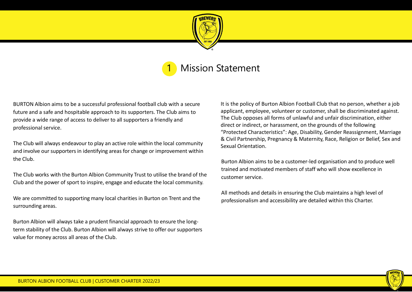

### **Mission Statement**

BURTON Albion aims to be a successful professional football club with a secure future and a safe and hospitable approach to its supporters. The Club aims to provide a wide range of access to deliver to all supporters a friendly and professional service.

The Club will always endeavour to play an active role within the local community and involve our supportersin identifying areas for change or improvement within the Club.

The Club works with the Burton Albion Community Trust to utilise the brand of the Club and the power of sport to inspire, engage and educate the local community.

We are committed to supporting many local charities in Burton on Trent and the surrounding areas.

Burton Albion will always take a prudent financial approach to ensure the longterm stability of the Club. Burton Albion will always strive to offer our supporters value for money across all areas of the Club.

It is the policy of Burton Albion Football Club that no person, whether a job applicant, employee, volunteer or customer, shall be discriminated against. The Club opposes all forms of unlawful and unfair discrimination, either direct or indirect, or harassment, on the grounds of the following "Protected Characteristics": Age, Disability, Gender Reassignment, Marriage & Civil Partnership, Pregnancy & Maternity, Race, Religion or Belief, Sex and Sexual Orientation.

Burton Albion aims to be a customer-led organisation and to produce well trained and motivated members of staff who will show excellence in customer service.

All methods and details in ensuring the Club maintains a high level of professionalism and accessibility are detailed within this Charter.

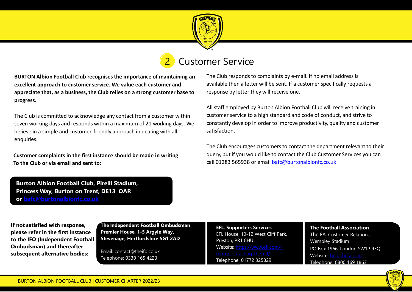

## **Customer Service**

**BURTON Albion Football Club recognises the importance of maintaining an excellent approach to customer service. We value each customer and appreciate that, as a business, the Club relies on a strong customer base to progress.**

The Club is committed to acknowledge any contact from a customer within seven working days and responds within a maximum of 21 working days. We believe in a simple and customer-friendly approach in dealing with all enquiries.

**Customer complaints in the first instance should be made in writing To the Club or via email and sent to:**

The Club responds to complaints by e-mail. If no email address is available then a letter will be sent. If a customer specifically requests a response by letter they will receive one.

All staff employed by Burton Albion Football Club will receive training in customer service to a high standard and code of conduct, and strive to constantly develop in order to improve productivity, quality and customer satisfaction.

The Club encourages customers to contact the department relevant to their query, but if you would like to contact the Club Customer Services you can call 01283 565938 or email [bafc@burtonalbionfc.co.uk](mailto:%20bafc@burtonalbionfc.co.uk)

**Burton Albion Football Club, Pirelli Stadium, Princess Way, Burton on Trent, DE13 OAR or [bafc@burtonalbionfc.co.uk](mailto:bafc@burtonalbionfc.co.uk)**

**If not satisfied with response, please refer in the first instance to the IFO (Independent Football Ombudsman) and thereafter subsequent alternative bodies:**

**The Independent Football Ombudsman Premier House, 1-5 Argyle Way, Stevenage, Hertfordshire SG1 2AD**

Email: contact@theifo.co.uk Telephone: 0330 165 4223

**EFL, Supporters Services** EFL House, 10-12 West Cliff Park, Preston, PR1 8HU [Website: https://www.efl.com/-](https://www.efl.com/-more/contacting-the-efl/) Telephone: 01772 325829

**The Football Association**  The FA, Customer Relations Wembley Stadium PO Box 1966, London SW1P 9EQ Website: [help.thefa.com](https://help.thefa.com/) Telephone: 0800 169 1863

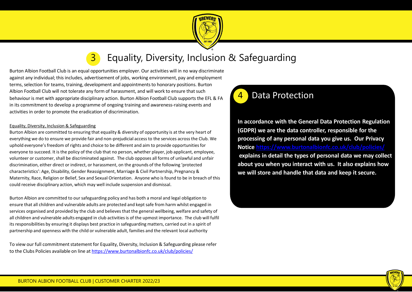

### **3** Equality, Diversity, Inclusion & Safeguarding

Burton Albion Football Club is an equal opportunities employer. Our activities will in no way discriminate against any individual; this includes, advertisement of jobs, working environment, pay and employment terms, selection for teams, training, development and appointments to honorary positions. Burton Albion Football Club will not tolerate any form of harassment, and will work to ensure that such behaviour is met with appropriate disciplinary action. Burton Albion Football Club supports the EFL & FA in its commitment to develop a programme of ongoing training and awareness-raising events and activities in order to promote the eradication of discrimination.

#### Equality, Diversity, Inclusion & Safeguarding

Burton Albion are committed to ensuring that equality & diversity of opportunity is at the very heart of everything we do to ensure we provide fair and non-prejudicial access to the services across the Club. We uphold everyone's freedom of rights and choice to be different and aim to provide opportunities for everyone to succeed. It is the policy of the club that no person, whether player, job applicant, employee, volunteer or customer, shall be discriminated against. The club opposes all forms of unlawful and unfair discrimination, either direct or indirect, or harassment, on the grounds of the following 'protected characteristics': Age, Disability, Gender Reassignment, Marriage & Civil Partnership, Pregnancy & Maternity, Race, Religion or Belief, Sex and Sexual Orientation. Anyone who is found to be in breach of this could receive disciplinary action, which may well include suspension and dismissal.

Burton Albion are committed to our safeguarding policy and has both a moral and legal obligation to ensure that all children and vulnerable adults are protected and kept safe from harm whilst engaged in services organised and provided by the club and believes that the general wellbeing, welfare and safety of all children and vulnerable adults engaged in club activities is of the upmost importance. The club will fulfil its responsibilities by ensuring it displays best practice in safeguarding matters, carried out in a spirit of partnership and openness with the child or vulnerable adult, families and the relevant local authority

To view our full commitment statement for Equality, Diversity, Inclusion & Safeguarding please refer to the Clubs Policies available on line at<https://www.burtonalbionfc.co.uk/club/policies/>

### Data Protection

**In accordance with the General Data Protection Regulation (GDPR) we are the data controller, responsible for the processing of any personal data you give us. Our Privacy Notice <https://www.burtonalbionfc.co.uk/club/policies/> explains in detail the types of personal data we may collect about you when you interact with us. It also explains how we will store and handle that data and keep it secure.**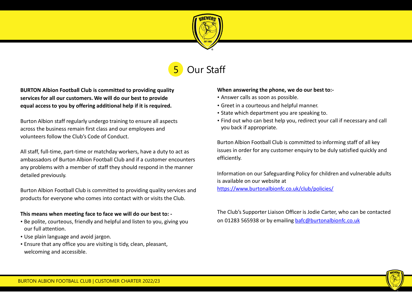

## Our Staff

**BURTON Albion Football Club is committed to providing quality servicesfor all our customers. We will do our best to provide equal access to you by offering additional help if it is required.**

Burton Albion staff regularly undergo training to ensure all aspects across the business remain first class and our employees and volunteers follow the Club's Code of Conduct.

All staff, full-time, part-time or matchday workers, have a duty to act as ambassadors of Burton Albion Football Club and if a customer encounters any problems with a member of staff they should respond in the manner detailed previously.

Burton Albion Football Club is committed to providing quality services and products for everyone who comes into contact with or visits the Club.

#### **This means when meeting face to face we will do our best to: -**

- Be polite, courteous, friendly and helpful and listen to you, giving you our full attention.
- Use plain language and avoid jargon.
- Ensure that any office you are visiting is tidy, clean, pleasant, welcoming and accessible.

#### **When answering the phone, we do our best to:-**

- Answer calls as soon as possible.
- Greet in a courteous and helpful manner.
- State which department you are speaking to.
- Find out who can best help you, redirect your call if necessary and call you back if appropriate.

Burton Albion Football Club is committed to informing staff of all key issues in order for any customer enquiry to be duly satisfied quickly and efficiently.

Information on our Safeguarding Policy for children and vulnerable adults is available on our website at <https://www.burtonalbionfc.co.uk/club/policies/>

The Club's Supporter Liaison Officer is Jodie Carter, who can be contacted on 01283 565938 or by emailing [bafc@burtonalbionfc.co.uk](mailto:bafc@burtonalbionfc.co.uk)

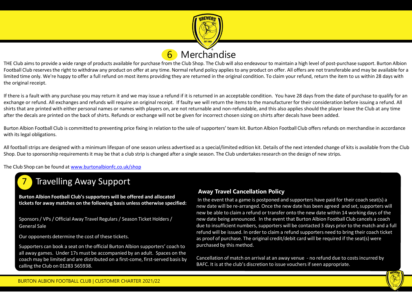

### Merchandise

THE Club aims to provide a wide range of products available for purchase from the Club Shop. The Club will also endeavour to maintain a high level of post-purchase support. Burton Albion Football Club reserves the right to withdraw any product on offer at any time. Normal refund policy applies to any product on offer. All offers are not transferable and may be available for a limited time only. We're happy to offer a full refund on most items providing they are returned in the original condition. To claim your refund, return the item to us within 28 days with the original receipt.

If there is a fault with any purchase you may return it and we may issue a refund if it is returned in an acceptable condition. You have 28 days from the date of purchase to qualify for an exchange or refund. All exchanges and refunds will require an original receipt. If faulty we will return the items to the manufacturer for their consideration before issuing a refund. All shirts that are printed with either personal names or names with players on, are not returnable and non-refundable, and this also applies should the player leave the Club at any time after the decals are printed on the back of shirts. Refunds or exchange will not be given for incorrect chosen sizing on shirts after decals have been added.

Burton Albion Football Club is committed to preventing price fixing in relation to the sale of supporters' team kit. Burton Albion Football Club offers refunds on merchandise in accordance with its legal obligations.

All football strips are designed with a minimum lifespan of one season unless advertised as a special/limited edition kit. Details of the next intended change of kits is available from the Club Shop. Due to sponsorship requirements it may be that a club strip is changed after a single season. The Club undertakes research on the design of new strips.

The Club Shop can be found at [www.burtonalbionfc.co.uk/shop](http://www.burtonalbionfc.co.uk/shop)



### **Travelling Away Support**

**Burton Albion Football Club's supporters will be offered and allocated tickets for away matches on the following basis unless otherwise specified:**

Sponsors / VPs / Official Away Travel Regulars / Season Ticket Holders / General Sale

Our opponents determine the cost of these tickets.

Supporters can book a seat on the official Burton Albion supporters' coach to all away games. Under 17s must be accompanied by an adult. Spaces on the coach may be limited and are distributed on a first-come, first-served basis by calling the Club on 01283 565938.

#### **Away Travel Cancellation Policy**

In the event that a game is postponed and supporters have paid for their coach seat(s) a new date will be re-arranged. Once the new date has been agreed and set, supporters will new be able to claim a refund or transfer onto the new date within 14 working days of the new date being announced. In the event that Burton Albion Football Club cancels a coach due to insufficient numbers, supporters will be contacted 3 days prior to the match and a full refund will be issued. In order to claim a refund supporters need to bring their coach ticket as proof of purchase. The original credit/debit card will be required if the seat(s) were purchased by this method.

Cancellation of match on arrival at an away venue - no refund due to costs incurred by BAFC. It is at the club's discretion to issue vouchers if seen appropriate.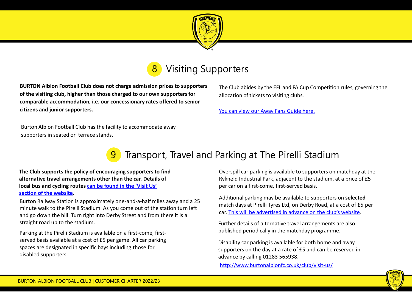



**BURTON Albion Football Club does not charge admission prices to supporters of the visiting club, higher than those charged to our own supporters for comparable accommodation, i.e. our concessionary rates offered to senior citizens and junior supporters.**

The Club abides by the EFL and FA Cup Competition rules, governing the allocation of tickets to visiting clubs.

[You can view our Away Fans Guide here.](https://www.burtonalbionfc.co.uk/fans/away-fans/)

Burton Albion Football Club has the facility to accommodate away supporters in seated or terrace stands.

### Transport, Travel and Parking at The Pirelli Stadium

**The Club supports the policy of encouraging supportersto find alternative travel arrangements other than the car. Details of local bus [and cycling](https://www.burtonalbionfc.co.uk/club/visit-us/) routes can be found in the 'Visit Us' section of the website.**

Burton Railway Station is approximately one-and-a-half miles away and a 25 minute walk to the Pirelli Stadium. As you come out of the station turn left and go down the hill. Turn right into Derby Street and from there it is a straight road up to the stadium.

Parking at the Pirelli Stadium is available on a first-come, firstserved basis available at a cost of £5 per game. All car parking spaces are designated in specific bays including those for disabled supporters.

Overspill car parking is available to supporters on matchday at the Rykneld Industrial Park, adjacent to the stadium, at a price of £5 per car on a first-come, first-served basis.

Additional parking may be available to supporters on **selected**  match days at Pirelli Tyres Ltd, on Derby Road, at a cost of £5 per car. [This will be advertised in advance on the club's website](http://www.burtonalbionfc.co.uk/).

Further details of alternative travel arrangements are also published periodically in the matchday programme.

Disability car parking is available for both home and away supporters on the day at a rate of £5 and can be reserved in advance by calling 01283 565938.

<http://www.burtonalbionfc.co.uk/club/visit-us/>

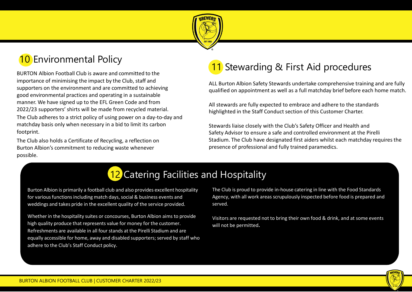

# **10** Environmental Policy

BURTON Albion Football Club is aware and committed to the importance of minimising the impact by the Club, staff and supporters on the environment and are committed to achieving good environmental practices and operating in a sustainable manner. We have signed up to the EFL Green Code and from 2022/23 supporters' shirts will be made from recycled material. The Club adheres to a strict policy of using power on a day-to-day and matchday basis only when necessary in a bid to limit its carbon footprint.

The Club also holds a Certificate of Recycling, a reflection on Burton Albion's commitment to reducing waste whenever possible.

# 1 Stewarding & First Aid procedures

ALL Burton Albion Safety Stewards undertake comprehensive training and are fully qualified on appointment as well as a full matchday brief before each home match.

All stewards are fully expected to embrace and adhere to the standards highlighted in the Staff Conduct section of this Customer Charter.

Stewards liaise closely with the Club's Safety Officer and Health and Safety Advisor to ensure a safe and controlled environment at the Pirelli Stadium. The Club have designated first aiders whilst each matchday requires the presence of professional and fully trained paramedics.

# 12 Catering Facilities and Hospitality

Burton Albion is primarily a football club and also provides excellent hospitality for various functions including match days, social & business events and weddings and takes pride in the excellent quality of the service provided.

Whether in the hospitality suites or concourses, Burton Albion aims to provide high quality produce that represents value for money for the customer. Refreshments are available in all four stands at the Pirelli Stadium and are equally accessible for home, away and disabled supporters; served by staff who adhere to the Club's Staff Conduct policy.

The Club is proud to provide in-house catering in line with the Food Standards Agency, with all work areas scrupulously inspected before food is prepared and served.

Visitors are requested not to bring their own food & drink, and at some events will not be permitted**.**

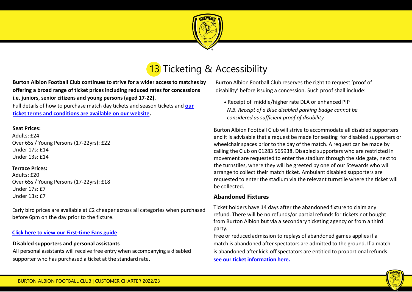

# 13 Ticketing & Accessibility

**Burton Albion Football Club continues to strive for a wider access to matches by offering a broad range of ticket prices including reduced rates for concessions i.e. juniors, senior citizens and young persons (aged 17-22).** [Full details of how to purchase match day tickets and season tickets and](https://www.burtonalbionfc.co.uk/tickets/ticket-information/) **our ticket terms and conditions are available on our website.**

#### **Seat Prices:**

Adults: £24 Over 65s / Young Persons (17-22yrs): £22 Under 17s: £14 Under 13s: £14

#### **Terrace Prices:**

Adults: £20 Over 65s / Young Persons (17-22yrs): £18 Under 17s: £7 Under 13s: £7

Early bird prices are available at £2 cheaper across all categories when purchased before 6pm on the day prior to the fixture.

#### **[Click here to view our First-time Fans guide](https://www.burtonalbionfc.co.uk/fans/new-fans/)**

#### **Disabled supporters and personal assistants**

All personal assistants will receive free entry when accompanying a disabled supporter who has purchased a ticket at the standard rate.

Burton Albion Football Club reserves the right to request 'proof of disability' before issuing a concession. Such proof shall include:

• Receipt of middle/higher rate DLA or enhanced PIP *N.B. Receipt of a Blue disabled parking badge cannot be considered as sufficient proof of disability.*

Burton Albion Football Club will strive to accommodate all disabled supporters and it is advisable that a request be made for seating for disabled supporters or wheelchair spaces prior to the day of the match. A request can be made by calling the Club on 01283 565938. Disabled supporters who are restricted in movement are requested to enter the stadium through the side gate, next to the turnstiles, where they will be greeted by one of our Stewards who will arrange to collect their match ticket. Ambulant disabled supporters are requested to enter the stadium via the relevant turnstile where the ticket will be collected.

### . **Abandoned Fixtures**

Ticket holders have 14 days after the abandoned fixture to claim any refund. There will be no refunds/or partial refunds for tickets not bought from Burton Albion but via a secondary ticketing agency or from a third party.

Free or reduced admission to replays of abandoned games applies if a match is abandoned after spectators are admitted to the ground. If a match is abandoned after kick-off spectators are entitled to proportional refunds **[see our ticket information here.](https://www.burtonalbionfc.co.uk/tickets/ticket-information/)**

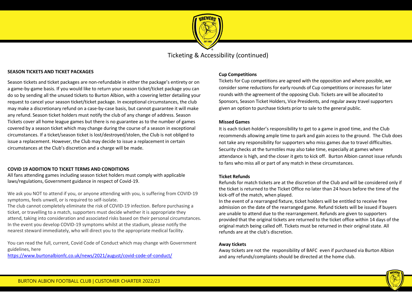

Ticketing & Accessibility (continued)

#### **SEASON TICKETS AND TICKET PACKAGES**

Season tickets and ticket packages are non-refundable in either the package's entirety or on a game-by-game basis. If you would like to return your season ticket/ticket package you can do so by sending all the unused tickets to Burton Albion, with a covering letter detailing your request to cancel your season ticket/ticket package. In exceptional circumstances, the club may make a discretionary refund on a case-by-case basis, but cannot guarantee it will make any refund. Season ticket holders must notify the club of any change of address. Season Tickets cover all home league games but there is no guarantee as to the number of games covered by a season ticket which may change during the course of a season in exceptional circumstances. If a ticket/season ticket is lost/destroyed/stolen, the Club is not obliged to issue a replacement. However, the Club may decide to issue a replacement in certain circumstances at the Club's discretion and a charge will be made.

#### **COVID 19 ADDITION TO TICKET TERMS AND CONDITIONS**

All fans attending games including season ticket holders must comply with applicable laws/regulations, Government guidance in respect of Covid-19.

We ask you NOT to attend if you, or anyone attending with you, is suffering from COVID-19 symptoms, feels unwell, or is required to self-isolate.

The club cannot completely eliminate the risk of COVID-19 infection. Before purchasing a ticket, or travelling to a match, supporters must decide whether it is appropriate they attend, taking into consideration and associated risks based on their personal circumstances. In the event you develop COVID-19 symptoms whilst at the stadium, please notify the nearest steward immediately, who will direct you to the appropriate medical facility.

You can read the full, current, Covid Code of Conduct which may change with Government guidelines, here

<https://www.burtonalbionfc.co.uk/news/2021/august/covid-code-of-conduct/>

#### **Cup Competitions**

Tickets for Cup competitions are agreed with the opposition and where possible, we consider some reductions for early rounds of Cup competitions or increases for later rounds with the agreement of the opposing Club. Tickets are will be allocated to Sponsors, Season Ticket Holders, Vice Presidents, and regular away travel supporters given an option to purchase tickets prior to sale to the general public.

#### **Missed Games**

It is each ticket-holder's responsibility to get to a game in good time, and the Club recommends allowing ample time to park and gain access to the ground. The Club does not take any responsibility for supporters who miss games due to travel difficulties. Security checks at the turnstiles may also take time, especially at games where attendance is high, and the closer it gets to kick off. Burton Albion cannot issue refunds to fans who miss all or part of any match in these circumstances.

#### **Ticket Refunds**

Refunds for match tickets are at the discretion of the Club and will be considered only if the ticket is returned to the Ticket Office no later than 24 hours before the time of the kick-off of the match, when played.

In the event of a rearranged fixture, ticket holders will be entitled to receive free admission on the date of the rearranged game. Refund tickets will be issued if buyers are unable to attend due to the rearrangement. Refunds are given to supporters provided that the original tickets are returned to the ticket office within 14 days of the original match being called off. Tickets must be returned in their original state. All refunds are at the club's discretion.

#### **Away tickets**

Away tickets are not the responsibility of BAFC even if purchased via Burton Albion and any refunds/complaints should be directed at the home club.

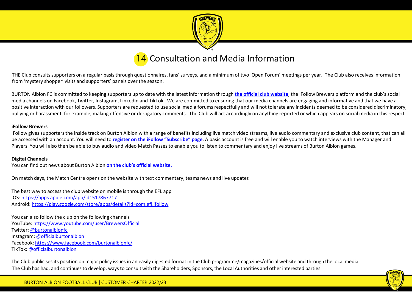

### 14 Consultation and Media Information

THE Club consults supporters on a regular basis through questionnaires, fans' surveys, and a minimum of two 'Open Forum' meetings per year. The Club also receives information from 'mystery shopper' visits and supporters' panels over the season.

BURTON Albion FC is committed to keeping supporters up to date with the latest information through **[the official club website](https://www.burtonalbionfc.co.uk/)**, the iFollow Brewers platform and the club's social media channels on Facebook, Twitter, Instagram, LinkedIn and TikTok. We are committed to ensuring that our media channels are engaging and informative and that we have a positive interaction with our followers. Supporters are requested to use social media forums respectfully and will not tolerate any incidents deemed to be considered discriminatory, bullying or harassment, for example, making offensive or derogatory comments. The Club will act accordingly on anything reported or which appears on social media in this respect.

#### **iFollow Brewers**

iFollow gives supporters the inside track on Burton Albion with a range of benefits including live match video streams, live audio commentary and exclusive club content, that can all be accessed with an account. You will need to **[register on the iFollow](https://www.burtonalbionfc.co.uk/ifollow/subscribe/) "Subscribe" page**. A basic account is free and will enable you to watch interviews with the Manager and Players. You will also then be able to buy audio and video Match Passes to enable you to listen to commentary and enjoy live streams of Burton Albion games.

#### **Digital Channels**

You can find out news about Burton Albion **[on the club's official website.](https://www.burtonalbionfc.co.uk/)**

On match days, the Match Centre opens on the website with text commentary, teams news and live updates

The best way to access the club website on mobile is through the EFL app iOS: <https://apps.apple.com/app/id1517867717> Android: <https://play.google.com/store/apps/details?id=com.efl.ifollow>

You can also follow the club on the following channels YouTube:<https://www.youtube.com/user/BrewersOfficial> Twitter: [@burtonalbionfc](http://www.twitter.com/burtonalbionfc) Instagram: [@officialburtonalbion](http://www.instagram.com/officialburtonalbion) Facebook: <https://www.facebook.com/burtonalbionfc/> TikTok: [@officialburtonalbion](https://www.tiktok.com/@officialburtonalbion)

The Club publicises its position on major policy issues in an easily digested format in the Club programme/magazines/official website and through the local media. The Club has had, and continues to develop, ways to consult with the Shareholders, Sponsors, the Local Authorities and other interested parties.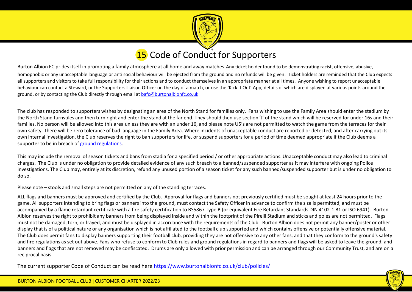

### **15** Code of Conduct for Supporters

Burton Albion FC prides itself in promoting a family atmosphere at all home and away matches Any ticket holder found to be demonstrating racist, offensive, abusive, homophobic or any unacceptable language or anti social behaviour will be ejected from the ground and no refunds will be given. Ticket holders are reminded that the Club expects all supporters and visitors to take full responsibility for their actions and to conduct themselves in an appropriate manner at all times. Anyone wishing to report unacceptable behaviour can contact a Steward, or the Supporters Liaison Officer on the day of a match, or use the 'Kick It Out' App, details of which are displayed at various points around the ground, or by contacting the Club directly through email at [bafc@burtonalbionfc.co.uk](mailto:bafc@burtonalbionfc.co.uk)

The club has responded to supporters wishes by designating an area of the North Stand for families only. Fans wishing to use the Family Area should enter the stadium by the North Stand turnstiles and then turn right and enter the stand at the far end. They should then use section 'J' of the stand which will be reserved for under 16s and their families. No person will be allowed into this area unless they are with an under 16, and please note U5's are not permitted to watch the game from the terraces for their own safety. There will be zero tolerance of bad language in the Family Area. Where incidents of unacceptable conduct are reported or detected, and after carrying out its own internal investigation, the Club reserves the right to ban supporters for life, or suspend supporters for a period of time deemed appropriate if the Club deems a supporter to be in breach of [ground regulations](https://www.burtonalbionfc.co.uk/siteassets/image/documents/ground-regulations-2021-2022_.pdf).

This may include the removal of season tickets and bans from stadia for a specified period / or other appropriate actions. Unacceptable conduct may also lead to criminal charges. The Club is under no obligation to provide detailed evidence of any such breach to a banned/suspended supporter as it may interfere with ongoing Police investigations. The Club may, entirely at its discretion, refund any unused portion of a season ticket for any such banned/suspended supporter but is under no obligation to do so.

Please note – stools and small steps are not permitted on any of the standing terraces.

ALL flags and banners must be approved and certified by the Club. Approval for flags and banners not previously certified must be sought at least 24 hours prior to the game. All supporters intending to bring flags or banners into the ground, must contact the Safety Officer in advance to confirm the size is permitted, and must be accompanied by a flame retardant certificate with a fire safety certification to BS5867 Type B (or equivalent Fire Retardant Standards DIN 4102-1 B1 or ISO 6941). Burton Albion reserves the right to prohibit any banners from being displayed inside and within the footprint of the Pirelli Stadium and sticks and poles are not permitted. Flags must not be damaged, torn, or frayed, and must be displayed in accordance with the requirements of the Club. Burton Albion does not permit any banner/poster or other display that is of a political nature or any organisation which is not affiliated to the football club supported and which contains offensive or potentially offensive material. The Club does permit fans to display banners supporting their football club, providing they are not offensive to any other fans, and that they conform to the ground's safety and fire regulations as set out above. Fans who refuse to conform to Club rules and ground regulations in regard to banners and flags will be asked to leave the ground, and banners and flags that are not removed may be confiscated. Drums are only allowed with prior permission and can be arranged through our Community Trust, and are on a reciprocal basis.

The current supporter Code of Conduct can be read here <https://www.burtonalbionfc.co.uk/club/policies/>

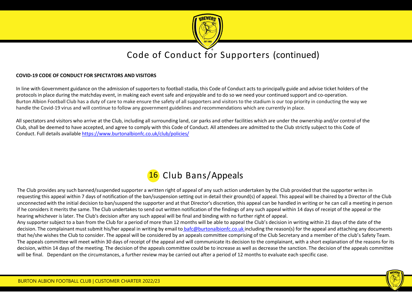

### Code of Conduct for Supporters (continued)

#### **COVID-19 CODE OF CONDUCT FOR SPECTATORS AND VISITORS**

In line with Government guidance on the admission of supporters to football stadia, this Code of Conduct acts to principally guide and advise ticket holders of the protocols in place during the matchday event, in making each event safe and enjoyable and to do so we need your continued support and co-operation. Burton Albion Football Club has a duty of care to make ensure the safety of all supporters and visitors to the stadium is our top priority in conducting the way we handle the Covid-19 virus and will continue to follow any government guidelines and recommendations which are currently in place.

All spectators and visitors who arrive at the Club, including all surrounding land, car parks and other facilities which are under the ownership and/or control of the Club, shall be deemed to have accepted, and agree to comply with this Code of Conduct. All attendees are admitted to the Club strictly subject to this Code of Conduct. Full details available<https://www.burtonalbionfc.co.uk/club/policies/>

### 16 Club Bans/Appeals

The Club provides any such banned/suspended supporter a written right of appeal of any such action undertaken by the Club provided that the supporter writes in requesting this appeal within 7 days of notification of the ban/suspension setting out in detail their ground(s) of appeal. This appeal will be chaired by a Director of the Club unconnected with the initial decision to ban/suspend the supporter and at that Director's discretion, this appeal can be handled in writing or he can call a meeting in person if he considers it merits the same. The Club undertakes to send out written notification of the findings of any such appeal within 14 days of receipt of the appeal or the hearing whichever is later. The Club's decision after any such appeal will be final and binding with no further right of appeal.

Any supporter subject to a ban from the Club for a period of more than 12 months will be able to appeal the Club's decision in writing within 21 days of the date of the decision. The complainant must submit his/her appeal in writing by email to [bafc@burtonalbionfc.co.uk i](mailto:bafc@burtonalbionfc.co.uk)ncluding the reason(s) for the appeal and attaching any documents that he/she wishes the Club to consider. The appeal will be considered by an appeals committee comprising of the Club Secretary and a member of the club's Safety Team. The appeals committee will meet within 30 days of receipt of the appeal and will communicate its decision to the complainant, with a short explanation of the reasons for its decision, within 14 days of the meeting. The decision of the appeals committee could be to increase as well as decrease the sanction. The decision of the appeals committee will be final. Dependant on the circumstances, a further review may be carried out after a period of 12 months to evaluate each specific case.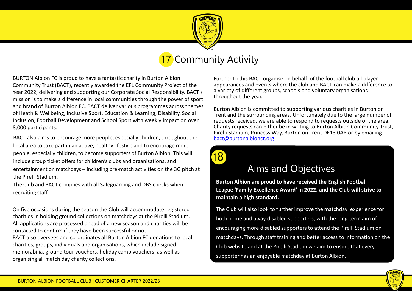

### 7 Community Activity

BURTON Albion FC is proud to have a fantastic charity in Burton Albion Community Trust (BACT), recently awarded the EFL Community Project of the Year 2022, delivering and supporting our Corporate Social Responsibility. BACT's mission is to make a difference in local communities through the power of sport and brand of Burton Albion FC. BACT deliver various programmes across themes of Heath & Wellbeing, Inclusive Sport, Education & Learning, Disability, Social Inclusion, Football Development and School Sport with weekly impact on over 8,000 participants.

BACT also aims to encourage more people, especially children, throughout the local area to take part in an active, healthy lifestyle and to encourage more people, especially children, to become supporters of Burton Albion. This will include group ticket offers for children's clubs and organisations, and entertainment on matchdays – including pre-match activities on the 3G pitch at the Pirelli Stadium.

The Club and BACT complies with all Safeguarding and DBS checks when recruiting staff.

On five occasions during the season the Club will accommodate registered charities in holding ground collections on matchdays at the Pirelli Stadium. All applications are processed ahead of a new season and charities will be contacted to confirm if they have been successful or not. BACT also oversees and co-ordinates all Burton Albion FC donations to local

charities, groups, individuals and organisations, which include signed memorabilia, ground tour vouchers, holiday camp vouchers, as well as organising all match day charity collections.

Further to this BACT organise on behalf of the football club all player appearances and events where the club and BACT can make a difference to a variety of different groups, schools and voluntary organisations throughout the year.

Burton Albion is committed to supporting various charities in Burton on Trent and the surrounding areas. Unfortunately due to the large number of requests received, we are able to respond to requests outside of the area. Charity requests can either be in writing to Burton Albion Community Trust, Pirelli Stadium, Princess Way, Burton on Trent DE13 0AR or by emailing [bact@burtonalbionct.org](mailto:bact@burtonalbionct.org)



### Aims and Objectives

**Burton Albion are proud to have received the English Football League 'Family Excellence Award' in 2022, and the Club will strive to maintain a high standard.**

The Club will also look to further improve the matchday experience for both home and away disabled supporters, with the long-term aim of encouraging more disabled supporters to attend the Pirelli Stadium on matchdays. Through staff training and better access to information on the Club website and at the Pirelli Stadium we aim to ensure that every supporter has an enjoyable matchday at Burton Albion.